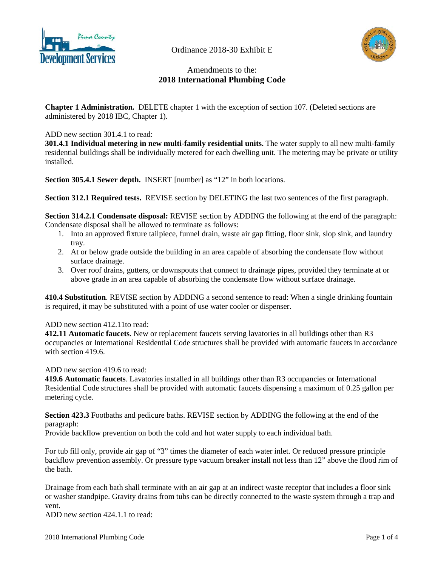

Ordinance 2018-30 Exhibit E



# Amendments to the: **2018 International Plumbing Code**

**Chapter 1 Administration.** DELETE chapter 1 with the exception of section 107. (Deleted sections are administered by 2018 IBC, Chapter 1).

ADD new section 301.4.1 to read:

**301.4.1 Individual metering in new multi-family residential units.** The water supply to all new multi-family residential buildings shall be individually metered for each dwelling unit. The metering may be private or utility installed.

**Section 305.4.1 Sewer depth. INSERT** [number] as "12" in both locations.

**Section 312.1 Required tests.** REVISE section by DELETING the last two sentences of the first paragraph.

**Section 314.2.1 Condensate disposal:** REVISE section by ADDING the following at the end of the paragraph: Condensate disposal shall be allowed to terminate as follows:

- 1. Into an approved fixture tailpiece, funnel drain, waste air gap fitting, floor sink, slop sink, and laundry tray.
- 2. At or below grade outside the building in an area capable of absorbing the condensate flow without surface drainage.
- 3. Over roof drains, gutters, or downspouts that connect to drainage pipes, provided they terminate at or above grade in an area capable of absorbing the condensate flow without surface drainage.

**410.4 Substitution**. REVISE section by ADDING a second sentence to read: When a single drinking fountain is required, it may be substituted with a point of use water cooler or dispenser.

## ADD new section 412.11to read:

**412.11 Automatic faucets**. New or replacement faucets serving lavatories in all buildings other than R3 occupancies or International Residential Code structures shall be provided with automatic faucets in accordance with section 419.6.

ADD new section 419.6 to read:

**419.6 Automatic faucets**. Lavatories installed in all buildings other than R3 occupancies or International Residential Code structures shall be provided with automatic faucets dispensing a maximum of 0.25 gallon per metering cycle.

**Section 423.3** Footbaths and pedicure baths. REVISE section by ADDING the following at the end of the paragraph:

Provide backflow prevention on both the cold and hot water supply to each individual bath.

For tub fill only, provide air gap of "3" times the diameter of each water inlet. Or reduced pressure principle backflow prevention assembly. Or pressure type vacuum breaker install not less than 12" above the flood rim of the bath.

Drainage from each bath shall terminate with an air gap at an indirect waste receptor that includes a floor sink or washer standpipe. Gravity drains from tubs can be directly connected to the waste system through a trap and vent.

ADD new section 424.1.1 to read: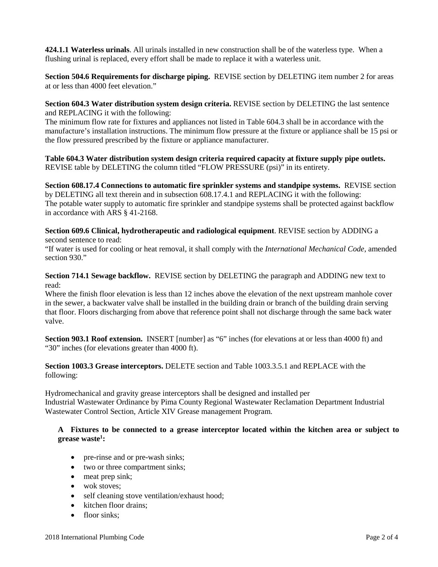**424.1.1 Waterless urinals**. All urinals installed in new construction shall be of the waterless type. When a flushing urinal is replaced, every effort shall be made to replace it with a waterless unit.

**Section 504.6 Requirements for discharge piping.** REVISE section by DELETING item number 2 for areas at or less than 4000 feet elevation."

**Section 604.3 Water distribution system design criteria.** REVISE section by DELETING the last sentence and REPLACING it with the following:

The minimum flow rate for fixtures and appliances not listed in Table 604.3 shall be in accordance with the manufacture's installation instructions. The minimum flow pressure at the fixture or appliance shall be 15 psi or the flow pressured prescribed by the fixture or appliance manufacturer.

**Table 604.3 Water distribution system design criteria required capacity at fixture supply pipe outlets.** REVISE table by DELETING the column titled "FLOW PRESSURE (psi)" in its entirety.

**Section 608.17.4 Connections to automatic fire sprinkler systems and standpipe systems.** REVISE section by DELETING all text therein and in subsection 608.17.4.1 and REPLACING it with the following: The potable water supply to automatic fire sprinkler and standpipe systems shall be protected against backflow in accordance with ARS § 41-2168.

**Section 609.6 Clinical, hydrotherapeutic and radiological equipment**. REVISE section by ADDING a second sentence to read:

"If water is used for cooling or heat removal, it shall comply with the *International Mechanical Code*, amended section 930."

**Section 714.1 Sewage backflow.** REVISE section by DELETING the paragraph and ADDING new text to read:

Where the finish floor elevation is less than 12 inches above the elevation of the next upstream manhole cover in the sewer, a backwater valve shall be installed in the building drain or branch of the building drain serving that floor. Floors discharging from above that reference point shall not discharge through the same back water valve.

**Section 903.1 Roof extension.** INSERT [number] as "6" inches (for elevations at or less than 4000 ft) and "30" inches (for elevations greater than 4000 ft).

## **Section 1003.3 Grease interceptors.** DELETE section and Table 1003.3.5.1 and REPLACE with the following:

Hydromechanical and gravity grease interceptors shall be designed and installed per Industrial Wastewater Ordinance by Pima County Regional Wastewater Reclamation Department Industrial Wastewater Control Section, Article XIV Grease management Program.

## **A Fixtures to be connected to a grease interceptor located within the kitchen area or subject to grease waste1 :**

- pre-rinse and or pre-wash sinks;
- two or three compartment sinks;
- meat prep sink;
- wok stoves:
- self cleaning stove ventilation/exhaust hood;
- kitchen floor drains:
- floor sinks: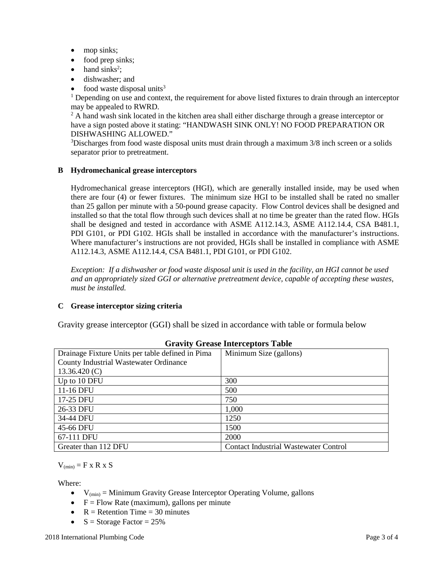- mop sinks;
- food prep sinks;
- $\bullet$  hand sinks<sup>2</sup>;
- dishwasher: and
- food waste disposal units $3$

<sup>1</sup> Depending on use and context, the requirement for above listed fixtures to drain through an interceptor may be appealed to RWRD.

<sup>2</sup> A hand wash sink located in the kitchen area shall either discharge through a grease interceptor or have a sign posted above it stating: "HANDWASH SINK ONLY! NO FOOD PREPARATION OR DISHWASHING ALLOWED."

<sup>3</sup>Discharges from food waste disposal units must drain through a maximum 3/8 inch screen or a solids separator prior to pretreatment.

## **B Hydromechanical grease interceptors**

Hydromechanical grease interceptors (HGI), which are generally installed inside, may be used when there are four (4) or fewer fixtures. The minimum size HGI to be installed shall be rated no smaller than 25 gallon per minute with a 50-pound grease capacity. Flow Control devices shall be designed and installed so that the total flow through such devices shall at no time be greater than the rated flow. HGIs shall be designed and tested in accordance with ASME A112.14.3, ASME A112.14.4, CSA B481.1, PDI G101, or PDI G102. HGIs shall be installed in accordance with the manufacturer's instructions. Where manufacturer's instructions are not provided, HGIs shall be installed in compliance with ASME A112.14.3, ASME A112.14.4, CSA B481.1, PDI G101, or PDI G102.

*Exception: If a dishwasher or food waste disposal unit is used in the facility, an HGI cannot be used and an appropriately sized GGI or alternative pretreatment device, capable of accepting these wastes, must be installed.*

## **C Grease interceptor sizing criteria**

Gravity grease interceptor (GGI) shall be sized in accordance with table or formula below

| Drainage Fixture Units per table defined in Pima | Minimum Size (gallons)                       |
|--------------------------------------------------|----------------------------------------------|
| <b>County Industrial Wastewater Ordinance</b>    |                                              |
| 13.36.420(C)                                     |                                              |
| Up to 10 DFU                                     | 300                                          |
| 11-16 DFU                                        | 500                                          |
| 17-25 DFU                                        | 750                                          |
| 26-33 DFU                                        | 1,000                                        |
| 34-44 DFU                                        | 1250                                         |
| 45-66 DFU                                        | 1500                                         |
| 67-111 DFU                                       | 2000                                         |
| Greater than 112 DFU                             | <b>Contact Industrial Wastewater Control</b> |

## **Gravity Grease Interceptors Table**

 $V_{(min)} = F x R x S$ 

Where:

- $V_{(min)} =$  Minimum Gravity Grease Interceptor Operating Volume, gallons
- $F = Flow$  Rate (maximum), gallons per minute
- $R =$  Retention Time = 30 minutes
- $S =$  Storage Factor = 25%